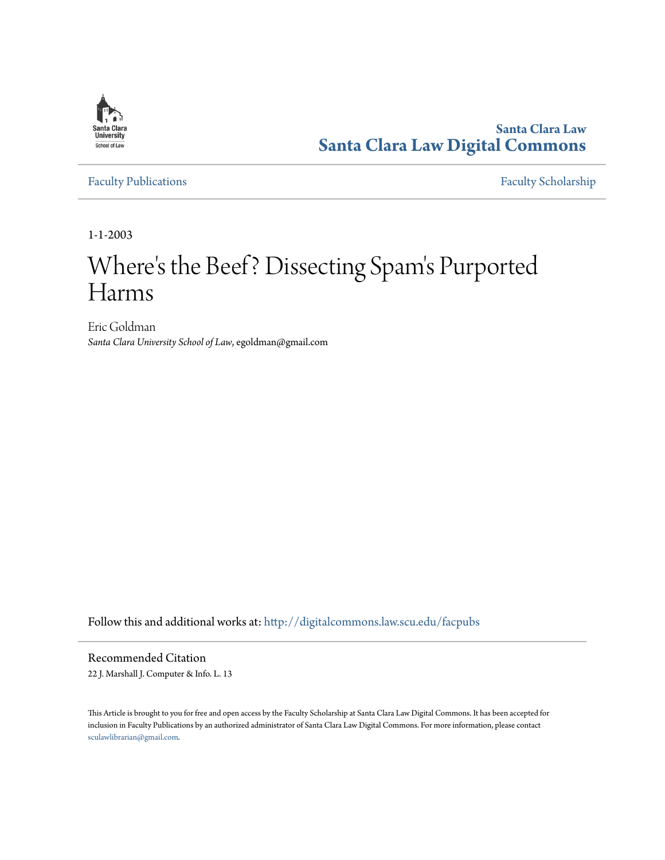

**Santa Clara Law [Santa Clara Law Digital Commons](http://digitalcommons.law.scu.edu?utm_source=digitalcommons.law.scu.edu%2Ffacpubs%2F505&utm_medium=PDF&utm_campaign=PDFCoverPages)**

[Faculty Publications](http://digitalcommons.law.scu.edu/facpubs?utm_source=digitalcommons.law.scu.edu%2Ffacpubs%2F505&utm_medium=PDF&utm_campaign=PDFCoverPages) [Faculty Scholarship](http://digitalcommons.law.scu.edu/faculty?utm_source=digitalcommons.law.scu.edu%2Ffacpubs%2F505&utm_medium=PDF&utm_campaign=PDFCoverPages)

1-1-2003

# Where 's the Beef? Dissecting Spam 's Purported Harms

Eric Goldman *Santa Clara University School of Law*, egoldman@gmail.com

Follow this and additional works at: [http://digitalcommons.law.scu.edu/facpubs](http://digitalcommons.law.scu.edu/facpubs?utm_source=digitalcommons.law.scu.edu%2Ffacpubs%2F505&utm_medium=PDF&utm_campaign=PDFCoverPages)

Recommended Citation

22 J. Marshall J. Computer & Info. L. 13

This Article is brought to you for free and open access by the Faculty Scholarship at Santa Clara Law Digital Commons. It has been accepted for inclusion in Faculty Publications by an authorized administrator of Santa Clara Law Digital Commons. For more information, please contact [sculawlibrarian@gmail.com](mailto:sculawlibrarian@gmail.com).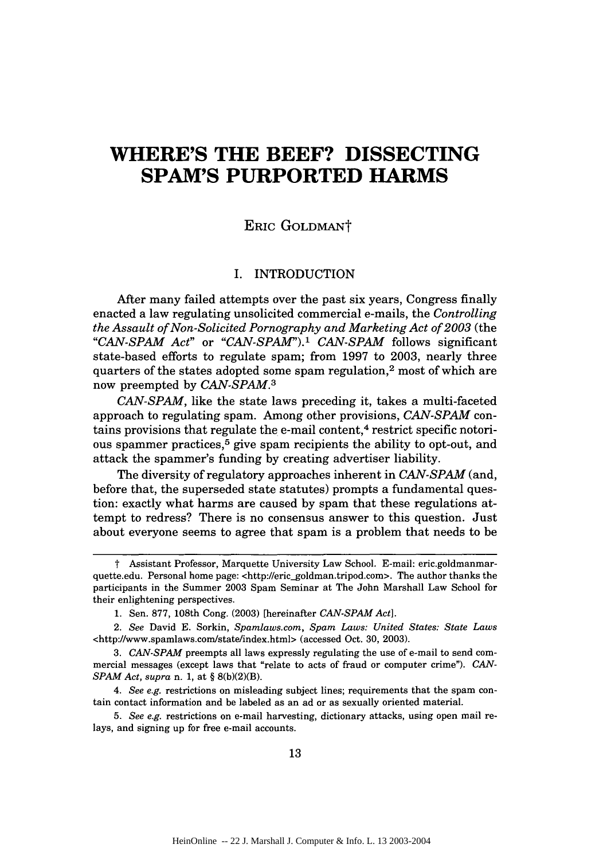## **WHERE'S THE BEEF? DISSECTING SPAM'S PURPORTED HARMS**

### ERIC GOLDMANT

#### I. INTRODUCTION

After many failed attempts over the past six years, Congress finally enacted a law regulating unsolicited commercial e-mails, the *Controlling the Assault of Non-Solicited Pornography and Marketing Act of 2003* (the *"CAN-SPAM Act"* or *"CAN-SPAM").' CAN-SPAM* follows significant state-based efforts to regulate spam; from 1997 to 2003, nearly three quarters of the states adopted some spam regulation,<sup>2</sup> most of which are now preempted by *CAN-SPAM. <sup>3</sup>*

*CAN-SPAM,* like the state laws preceding it, takes a multi-faceted approach to regulating spam. Among other provisions, *CAN-SPAM* contains provisions that regulate the e-mail content,<sup>4</sup> restrict specific notorious spammer practices,<sup>5</sup> give spam recipients the ability to opt-out, and attack the spammer's funding by creating advertiser liability.

The diversity of regulatory approaches inherent in *CAN-SPAM* (and, before that, the superseded state statutes) prompts a fundamental question: exactly what harms are caused by spam that these regulations attempt to redress? There is no consensus answer to this question. Just about everyone seems to agree that spam is a problem that needs to be

t Assistant Professor, Marquette University Law School. E-mail: eric.goldmanmarquette.edu. Personal home page: <http://eric\_goldman.tripod.com>. The author thanks the participants in the Summer 2003 Spam Seminar at The John Marshall Law School for their enlightening perspectives.

<sup>1.</sup> Sen. 877, 108th Cong. (2003) [hereinafter *CAN-SPAM Act].*

*<sup>2.</sup> See* David E. Sorkin, *Spamlaws.com,* Spare *Laws: United States: State Laws* <http://www.spamlaws.com/state/index.html> (accessed Oct. 30, 2003).

*<sup>3.</sup> CAN-SPAM* preempts all laws expressly regulating the use of e-mail to send commercial messages (except laws that "relate to acts of fraud or computer crime"). *CAN-SPAM Act, supra* n. 1, at § 8(b)(2)(B).

*<sup>4.</sup> See e.g.* restrictions on misleading subject lines; requirements that the sparn contain contact information and be labeled as an ad or as sexually oriented material.

*<sup>5.</sup> See e.g.* restrictions on e-mail harvesting, dictionary attacks, using open mail relays, and signing up for free e-mail accounts.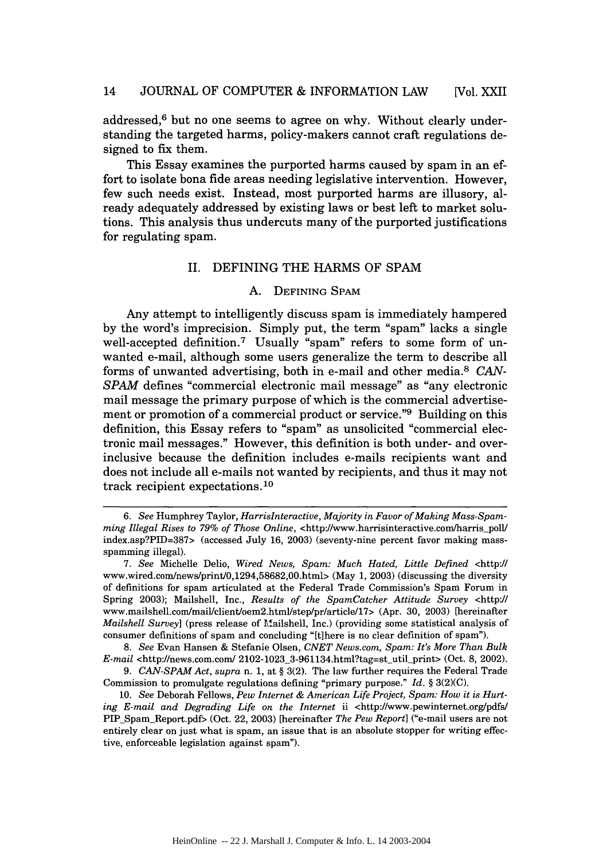addressed,<sup>6</sup> but no one seems to agree on why. Without clearly understanding the targeted harms, policy-makers cannot craft regulations designed to fix them.

This Essay examines the purported harms caused by spam in an effort to isolate bona fide areas needing legislative intervention. However, few such needs exist. Instead, most purported harms are illusory, already adequately addressed by existing laws or best left to market solutions. This analysis thus undercuts many of the purported justifications for regulating spam.

#### II. DEFINING THE HARMS OF SPAM

#### A. DEFINING **SPAM**

Any attempt to intelligently discuss spam is immediately hampered by the word's imprecision. Simply put, the term "spam" lacks a single well-accepted definition.<sup>7</sup> Usually "spam" refers to some form of unwanted e-mail, although some users generalize the term to describe all forms of unwanted advertising, both in e-mail and other media.8 *CAN-SPAM* defines "commercial electronic mail message" as "any electronic mail message the primary purpose of which is the commercial advertisement or promotion of a commercial product or service."<sup>9</sup> Building on this definition, this Essay refers to "spam" as unsolicited "commercial electronic mail messages." However, this definition is both under- and overinclusive because the definition includes e-mails recipients want and does not include all e-mails not wanted by recipients, and thus it may not track recipient expectations. <sup>10</sup>

*<sup>6.</sup> See* Humphrey Taylor, *HarrisInteractive, Majority in Favor of Making Mass-Spamming Illegal Rises to 79% of Those Online,* <http://www.harrisinteractive.com/harris\_poll/ index.asp?PID=387> (accessed July 16, 2003) (seventy-nine percent favor making massspamming illegal).

*<sup>7.</sup> See* Michelle Delio, *Wired News, Spam: Much Hated, Little Defined* <http:/! www.wired.com/news/print/0,1294,58682,00.html> (May 1, 2003) (discussing the diversity of definitions for spam articulated at the Federal Trade Commission's Spam Forum in Spring 2003); Mailshell, Inc., *Results of the SpamCatcher Attitude Survey* <http:// www.mailshell.com/mail/client/oem2.html/step/pr/article/17> (Apr. 30, 2003) [hereinafter *Mailshell Survey]* (press release of M.ailshell, Inc.) (providing some statistical analysis of consumer definitions of spam and concluding "[t]here is no clear definition of spam").

*<sup>8.</sup> See* Evan Hansen & Stefanie Olsen, *CNET News.coin, Spam: It's More Than Bulk E-mail* <http://news.com.com/ 2102-1023\_3-961134.html?tag=st\_util\_print> (Oct. 8, 2002).

*<sup>9.</sup> CAN-SPAM Act, supra* n. 1, at § 3(2). The law further requires the Federal Trade Commission to promulgate regulations defining "primary purpose." *Id.* § 3(2)(C).

<sup>10.</sup> *See* Deborah Fellows, *Pew Internet & American Life Project, Spam: How it is Hurting E-mail and Degrading Life on the Internet* ii <http:/www.pewinternet.org/pdfs/ PIP\_Spam\_Report.pdf> (Oct. 22, 2003) [hereinafter *The Pew Report*] ("e-mail users are not entirely clear on just what is spam, an issue that is an absolute stopper for writing effective, enforceable legislation against spam").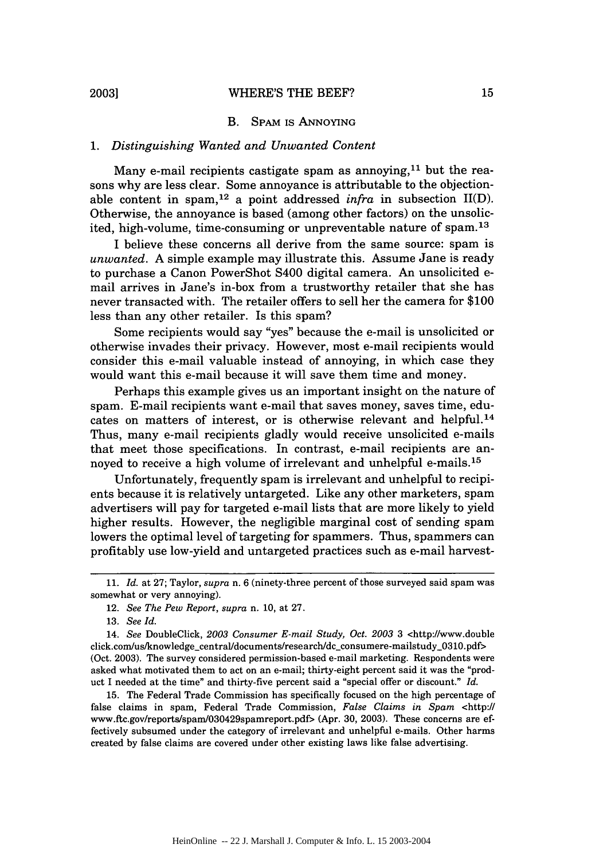#### B. SPAM IS ANNOYING

#### *1. Distinguishing Wanted and Unwanted Content*

Many e-mail recipients castigate spam as annoying, $11$  but the reasons why are less clear. Some annoyance is attributable to the objectionable content in spam,12 a point addressed *infra* in subsection II(D). Otherwise, the annoyance is based (among other factors) on the unsolicited, high-volume, time-consuming or unpreventable nature of spam.13

I believe these concerns all derive from the same source: spam is *unwanted.* A simple example may illustrate this. Assume Jane is ready to purchase a Canon PowerShot S400 digital camera. An unsolicited email arrives in Jane's in-box from a trustworthy retailer that she has never transacted with. The retailer offers to sell her the camera for \$100 less than any other retailer. Is this spam?

Some recipients would say "yes" because the e-mail is unsolicited or otherwise invades their privacy. However, most e-mail recipients would consider this e-mail valuable instead of annoying, in which case they would want this e-mail because it will save them time and money.

Perhaps this example gives us an important insight on the nature of spam. E-mail recipients want e-mail that saves money, saves time, educates on matters of interest, or is otherwise relevant and helpful. <sup>14</sup> Thus, many e-mail recipients gladly would receive unsolicited e-mails that meet those specifications. In contrast, e-mail recipients are annoyed to receive a high volume of irrelevant and unhelpful e-mails.<sup>15</sup>

Unfortunately, frequently spam is irrelevant and unhelpful to recipients because it is relatively untargeted. Like any other marketers, spam advertisers will pay for targeted e-mail lists that are more likely to yield higher results. However, the negligible marginal cost of sending spam lowers the optimal level of targeting for spammers. Thus, spammers can profitably use low-yield and untargeted practices such as e-mail harvest-

15. The Federal Trade Commission has specifically focused on the high percentage of false claims in spam, Federal Trade Commission, *False Claims in Spam* <http:// www.ftc.gov/reports/spam/030429spamreport.pdf> (Apr. 30, 2003). These concerns are effectively subsumed under the category of irrelevant and unhelpful e-mails. Other harms created by false claims are covered under other existing laws like false advertising.

<sup>11.</sup> *Id.* at 27; Taylor, *supra* n. 6 (ninety-three percent of those surveyed said spam was somewhat or very annoying).

<sup>12.</sup> *See The Pew Report, supra* n. 10, at 27.

<sup>13.</sup> *See Id.*

<sup>14.</sup> *See* DoubleClick, *2003 Consumer E-mail Study, Oct. 2003* 3 <http://www.double click.com/us/knowledge-central/documents/research/dc-consumere-mailstudy-0310.pdf> (Oct. 2003). The survey considered permission-based e-mail marketing. Respondents were asked what motivated them to act on an e-mail; thirty-eight percent said it was the "product I needed at the time" and thirty-five percent said a "special offer or discount." *Id.*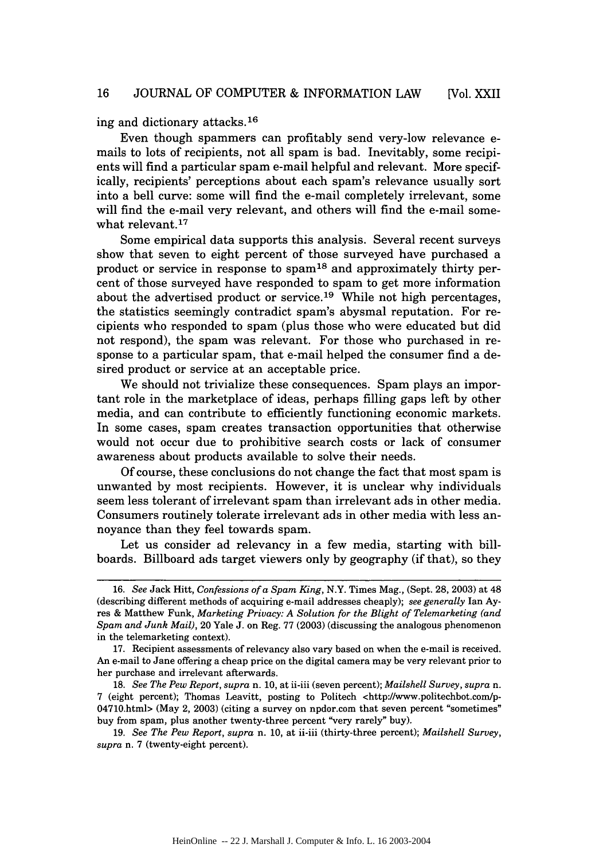ing and dictionary attacks. <sup>16</sup>

Even though spammers can profitably send very-low relevance emails to lots of recipients, not all spam is bad. Inevitably, some recipients will find a particular spam e-mail helpful and relevant. More specifically, recipients' perceptions about each spam's relevance usually sort into a bell curve: some will find the e-mail completely irrelevant, some will find the e-mail very relevant, and others will find the e-mail somewhat relevant. $17$ 

Some empirical data supports this analysis. Several recent surveys show that seven to eight percent of those surveyed have purchased a product or service in response to spam<sup>18</sup> and approximately thirty percent of those surveyed have responded to spam to get more information about the advertised product or service.<sup>19</sup> While not high percentages, the statistics seemingly contradict spam's abysmal reputation. For recipients who responded to spam (plus those who were educated but did not respond), the spam was relevant. For those who purchased in response to a particular spam, that e-mail helped the consumer find a desired product or service at an acceptable price.

We should not trivialize these consequences. Spam plays an important role in the marketplace of ideas, perhaps filling gaps left by other media, and can contribute to efficiently functioning economic markets. In some cases, spam creates transaction opportunities that otherwise would not occur due to prohibitive search costs or lack of consumer awareness about products available to solve their needs.

Of course, these conclusions do not change the fact that most spam is unwanted by most recipients. However, it is unclear why individuals seem less tolerant of irrelevant spam than irrelevant ads in other media. Consumers routinely tolerate irrelevant ads in other media with less annoyance than they feel towards spam.

Let us consider ad relevancy in a few media, starting with billboards. Billboard ads target viewers only by geography (if that), so they

<sup>16.</sup> *See* Jack Hitt, *Confessions ofa Spam King,* N.Y. Times Mag., (Sept. 28, 2003) at 48 (describing different methods of acquiring e-mail addresses cheaply); *see generally* Ian Ayres & Matthew Funk, *Marketing Privacy: A Solution for the Blight of Telemarketing (and Spam and Junk Mail),* 20 Yale J. on Reg. 77 (2003) (discussing the analogous phenomenon in the telemarketing context).

<sup>17.</sup> Recipient assessments of relevancy also vary based on when the e-mail is received. An e-mail to Jane offering a cheap price on the digital camera may be very relevant prior to her purchase and irrelevant afterwards.

<sup>18.</sup> *See The Pew Report, supra* n. 10, at ii-iii (seven percent); *Mailshell Survey, supra n.* 7 (eight percent); Thomas Leavitt, posting to Politech <http://www.politechbot.comp-04710.html> (May 2, 2003) (citing a survey on npdor.com that seven percent "sometimes" buy from spam, plus another twenty-three percent "very rarely" buy).

<sup>19.</sup> *See The Pew Report, supra* n. 10, at ii-iii (thirty-three percent); *Mailshell Survey, supra* n. 7 (twenty-eight percent).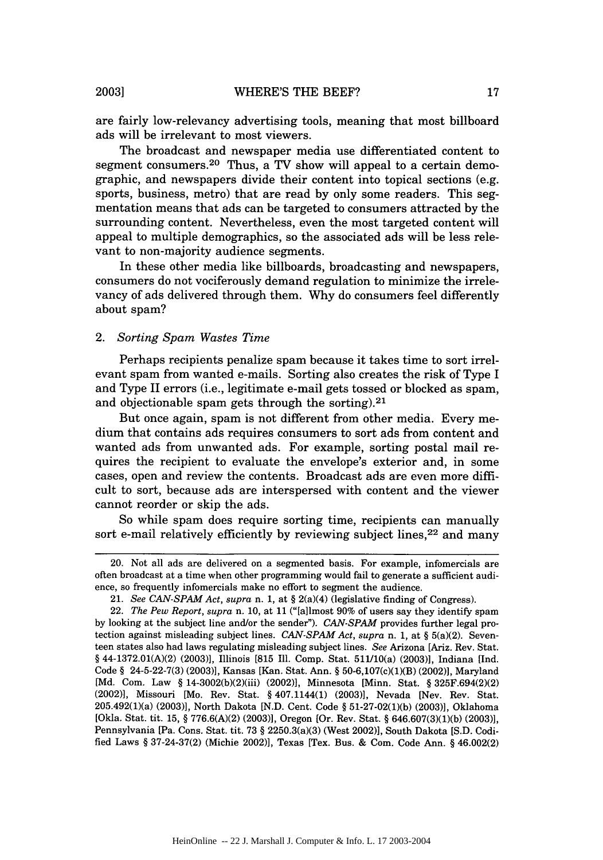are fairly low-relevancy advertising tools, meaning that most billboard ads will be irrelevant to most viewers.

The broadcast and newspaper media use differentiated content to segment consumers.<sup>20</sup> Thus, a TV show will appeal to a certain demographic, and newspapers divide their content into topical sections (e.g. sports, business, metro) that are read by only some readers. This segmentation means that ads can be targeted to consumers attracted by the surrounding content. Nevertheless, even the most targeted content will appeal to multiple demographics, so the associated ads will be less relevant to non-majority audience segments.

In these other media like billboards, broadcasting and newspapers, consumers do not vociferously demand regulation to minimize the irrelevancy of ads delivered through them. Why do consumers feel differently about spam?

#### *2. Sorting Spam Wastes Time*

Perhaps recipients penalize spam because it takes time to sort irrelevant spam from wanted e-mails. Sorting also creates the risk of Type I and Type II errors (i.e., legitimate e-mail gets tossed or blocked as spam, and objectionable spam gets through the sorting). $21$ 

But once again, spam is not different from other media. Every medium that contains ads requires consumers to sort ads from content and wanted ads from unwanted ads. For example, sorting postal mail requires the recipient to evaluate the envelope's exterior and, in some cases, open and review the contents. Broadcast ads are even more difficult to sort, because ads are interspersed with content and the viewer cannot reorder or skip the ads.

So while spam does require sorting time, recipients can manually sort e-mail relatively efficiently by reviewing subject lines,<sup>22</sup> and many

**2003]**

<sup>20.</sup> Not all ads are delivered on a segmented basis. For example, infomercials are often broadcast at a time when other programming would fail to generate a sufficient audience, so frequently infomercials make no effort to segment the audience.

<sup>21.</sup> *See CAN-SPAM Act, supra* n. 1, at § 2(a)(4) (legislative finding of Congress).

<sup>22.</sup> *The Pew Report, supra* n. 10, at 11 ("[allmost 90% of users say they identify spam by looking at the subject line and/or the sender"). *CAN-SPAM* provides further legal protection against misleading subject lines. *CAN-SPAM Act, supra* n. 1, at § 5(a)(2). Seventeen states also had laws regulating misleading subject lines. *See* Arizona [Ariz. Rev. Stat. § 44-1372.01(A)(2) (2003)], Illinois [815 Ill. Comp. Stat. 511/10(a) (2003)], Indiana [Ind. Code § 24-5-22-7(3) (2003)], Kansas [Kan. Stat. Ann. § 50-6,107(c)(1)(B) (2002)], Maryland [Md. Com. Law § 14-3002(b)(2)(iii) (2002)], Minnesota [Minn. Stat. § 325F.694(2)(2) (2002)], Missouri [Mo. Rev. Stat. § 407.1144(1) (2003)], Nevada [Nev. Rev. Stat. 205.492(1)(a) (2003)], North Dakota [N.D. Cent. Code § 51-27-02(1)(b) (2003), Oklahoma [Okla. Stat. tit. 15, § 776.6(A)(2) (2003)], Oregon [Or. Rev. Stat. § 646.607(3)(1)(b) (2003)], Pennsylvania [Pa. Cons. Stat. tit. 73 § 2250.3(a)(3) (West 2002)], South Dakota [S.D. Codified Laws § 37-24-37(2) (Michie 2002)], Texas [Tex. Bus. & Com. Code Ann. § 46.002(2)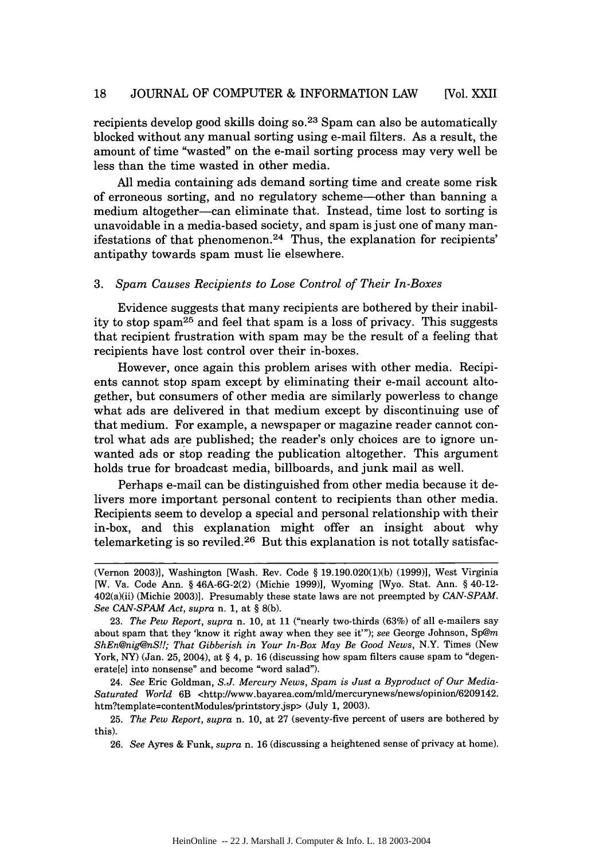recipients develop good skills doing  $\pi s^{23}$  Spam can also be automatically blocked without any manual sorting using e-mail filters. As a result, the amount of time "wasted" on the e-mail sorting process may very well be less than the time wasted in other media.

All media containing ads demand sorting time and create some risk of erroneous sorting, and no regulatory scheme-other than banning a medium altogether-can eliminate that. Instead, time lost to sorting is unavoidable in a media-based society, and spam is just one of many manifestations of that phenomenon.<sup>24</sup> Thus, the explanation for recipients' antipathy towards spam must lie elsewhere.

#### 3. *Spam Causes Recipients to Lose Control of Their In-Boxes*

Evidence suggests that many recipients are bothered by their inability to stop spam<sup>25</sup> and feel that spam is a loss of privacy. This suggests that recipient frustration with spam may be the result of a feeling that recipients have lost control over their in-boxes.

However, once again this problem arises with other media. Recipients cannot stop spam except by eliminating their e-mail account altogether, but consumers of other media are similarly powerless to change what ads are delivered in that medium except by discontinuing use of that medium. For example, a newspaper or magazine reader cannot control what ads are published; the reader's only choices are to ignore unwanted ads or stop reading the publication altogether. This argument holds true for broadcast media, billboards, and junk mail as well.

Perhaps e-mail can be distinguished from other media because it delivers more important personal content to recipients than other media. Recipients seem to develop a special and personal relationship with their in-box, and this explanation might offer an insight about why telemarketing is so reviled.<sup>26</sup> But this explanation is not totally satisfac-

24. *See* Eric Goldman, *S.J. Mercury News, Spam is Just a Byproduct of Our Media-*Saturated World 6B <http://www.bayarea.com/mld/mercurynews/news/opinion/6209142. htm?template=contentModules/printstory.jsp> (July 1, 2003).

<sup>(</sup>Vernon 2003)], Washington [Wash. Rev. Code § 19.190.020(1)(b) (1999)], West Virginia [W. Va. Code Ann. § 46A-6G-2(2) (Michie 1999)], Wyoming [Wyo. Stat. Ann. § 40-12- 402(a)(ii) (Michie 2003)]. Presumably these state laws are not preempted by *CAN-SPAM. See CAN-SPAM Act, supra* n. 1, at § 8(b).

<sup>23.</sup> *The Pew Report, supra* n. 10, at 11 ("nearly two-thirds (63%) of all e-mailers say about spam that they 'know it right away when they see it'"); *see* George Johnson, Sp@m *ShEn@nig@nS!!; That Gibberish in Your In-Box May Be Good News,* N.Y. Times (New York, NY) (Jan. 25, 2004), at  $\S 4$ , p. 16 (discussing how spam filters cause spam to "degenerate[e] into nonsense" and become "word salad").

<sup>25.</sup> *The Pew Report, supra* n. 10, at 27 (seventy-five percent of users are bothered by this).

<sup>26.</sup> *See* Ayres & Funk, *supra* n. 16 (discussing a heightened sense of privacy at home).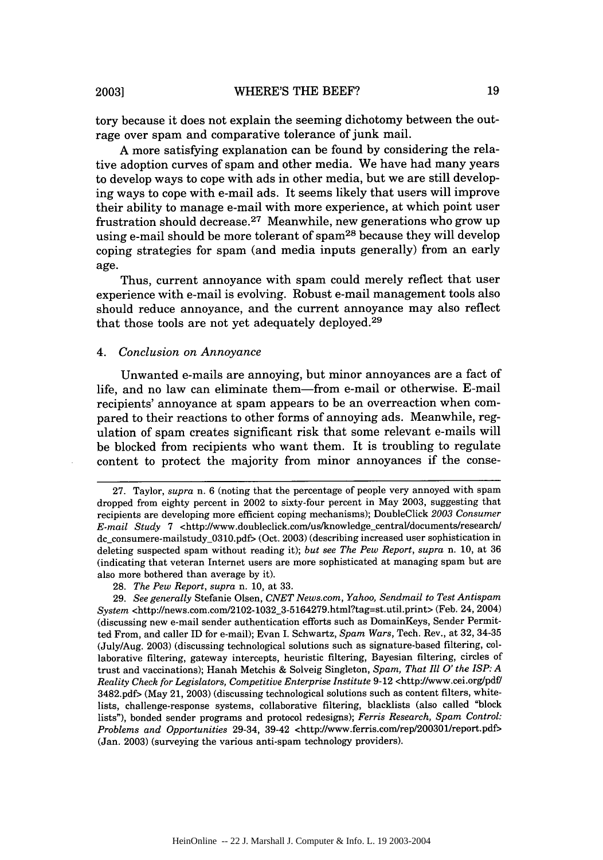tory because it does not explain the seeming dichotomy between the outrage over spam and comparative tolerance of junk mail.

A more satisfying explanation can be found by considering the relative adoption curves of spam and other media. We have had many years to develop ways to cope with ads in other media, but we are still developing ways to cope with e-mail ads. It seems likely that users will improve their ability to manage e-mail with more experience, at which point user frustration should decrease.<sup>27</sup> Meanwhile, new generations who grow up using e-mail should be more tolerant of spam28 because they will develop coping strategies for spam (and media inputs generally) from an early age.

Thus, current annoyance with spam could merely reflect that user experience with e-mail is evolving. Robust e-mail management tools also should reduce annoyance, and the current annoyance may also reflect that those tools are not yet adequately deployed. <sup>29</sup>

#### *4. Conclusion on Annoyance*

Unwanted e-mails are annoying, but minor annoyances are a fact of life, and no law can eliminate them-from e-mail or otherwise. E-mail recipients' annoyance at spam appears to be an overreaction when compared to their reactions to other forms of annoying ads. Meanwhile, regulation of spam creates significant risk that some relevant e-mails will be blocked from recipients who want them. It is troubling to regulate content to protect the majority from minor annoyances if the conse-

<sup>27.</sup> Taylor, *supra* n. 6 (noting that the percentage of people very annoyed with spam dropped from eighty percent in 2002 to sixty-four percent in May 2003, suggesting that recipients are developing more efficient coping mechanisms); DoubleClick *2003 Consumer E-mail Study 7* <http://www.doubleclick.com/us/knowledge\_central/documents/research/ dc\_consumere-mailstudy\_0310.pdf> (Oct. 2003) (describing increased user sophistication in deleting suspected spam without reading it); *but see The Pew Report, supra* n. 10, at 36 (indicating that veteran Internet users are more sophisticated at managing spam but are also more bothered than average by it).

<sup>28.</sup> *The Pew Report, supra* n. 10, at 33.

<sup>29.</sup> *See generally* Stefanie Olsen, *CNET News.com, Yahoo, Sendmail to Test Antispam System* <http://news.com.com/2102-1032\_3-5164279.html?tag=st.util.print> (Feb. 24, 2004) (discussing new e-mail sender authentication efforts such as DomainKeys, Sender Permitted From, and caller ID for e-mail); Evan I. Schwartz, *Spam Wars,* Tech. Rev., at 32, 34-35 (July/Aug. 2003) (discussing technological solutions such as signature-based filtering, collaborative filtering, gateway intercepts, heuristic filtering, Bayesian filtering, circles of trust and vaccinations); Hanah Metchis & Solveig Singleton, *Spam, That Ill O' the ISP: A Reality Check for Legislators, Competitive Enterprise Institute* 9-12 <http://www.cei.org/pdf/ 3482.pdf> (May 21, 2003) (discussing technological solutions such as content filters, whitelists, challenge-response systems, collaborative filtering, blacklists (also called "block lists"), bonded sender programs and protocol redesigns); *Ferris Research, Spam Control: Problems and Opportunities* 29-34, 39-42 <http://www.ferris.com/rep/200301report.pdf> (Jan. 2003) (surveying the various anti-spam technology providers).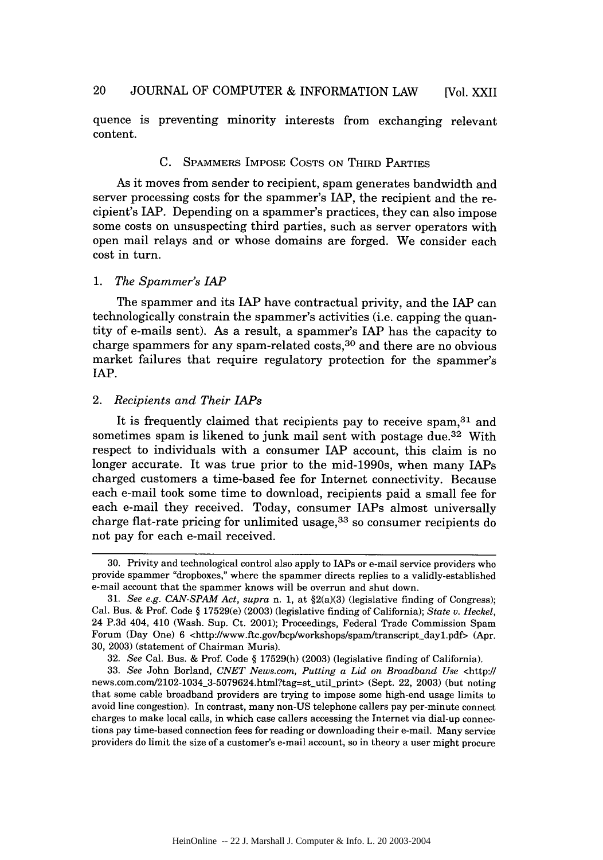quence is preventing minority interests from exchanging relevant content.

#### C. SPAMMERS IMPOSE COSTS ON THIRD PARTIES

As it moves from sender to recipient, spam generates bandwidth and server processing costs for the spammer's LAP, the recipient and the recipient's IAP. Depending on a spammer's practices, they can also impose some costs on unsuspecting third parties, such as server operators with open mail relays and or whose domains are forged. We consider each cost in turn.

#### *1. The Spammer's* IAP

The spammer and its IAP have contractual privity, and the IAP can technologically constrain the spammer's activities (i.e. capping the quantity of e-mails sent). As a result, a spammer's IAP has the capacity to charge spammers for any spam-related costs,  $30$  and there are no obvious market failures that require regulatory protection for the spammer's lAP.

#### *2. Recipients and Their IAPs*

It is frequently claimed that recipients pay to receive spam,  $31$  and sometimes spam is likened to junk mail sent with postage due.<sup>32</sup> With respect to individuals with a consumer IAP account, this claim is no longer accurate. It was true prior to the mid-1990s, when many IAPs charged customers a time-based fee for Internet connectivity. Because each e-mail took some time to download, recipients paid a small fee for each e-mail they received. Today, consumer LAPs almost universally charge flat-rate pricing for unlimited usage, 33 so consumer recipients do not pay for each e-mail received.

<sup>30.</sup> Privity and technological control also apply to IAPs or e-mail service providers who provide spammer "dropboxes," where the spammer directs replies to a validly-established e-mail account that the spammer knows will be overrun and shut down.

<sup>31.</sup> *See e.g. CAN-SPAM Act, supra* n. 1, at §2(a)(3) (legislative finding of Congress); Cal. Bus. & Prof. Code § 17529(e) (2003) (legislative finding of California); *State v. Heckel,* 24 P.3d 404, 410 (Wash. Sup. Ct. 2001); Proceedings, Federal Trade Commission Spam Forum (Day One) 6 <http://www.ftc.gov/bcp/workshops/spam/transcript\_day1.pdf> (Apr. 30, 2003) (statement of Chairman Muris).

<sup>32.</sup> *See* Cal. Bus. & Prof. Code § 17529(h) (2003) (legislative finding of California).

<sup>33.</sup> *See* John Borland, *CNET News.com, Putting a Lid on Broadband Use* <http:/l news.com.com/2102-1034\_3-5079624.html?tag=st-util-print> (Sept. 22, 2003) (but noting that some cable broadband providers are trying to impose some high-end usage limits to avoid line congestion). In contrast, many non-US telephone callers pay per-minute connect charges to make local calls, in which case callers accessing the Internet via dial-up connections pay time-based connection fees for reading or downloading their e-mail. Many service providers do limit the size of a customer's e-mail account, so in theory a user might procure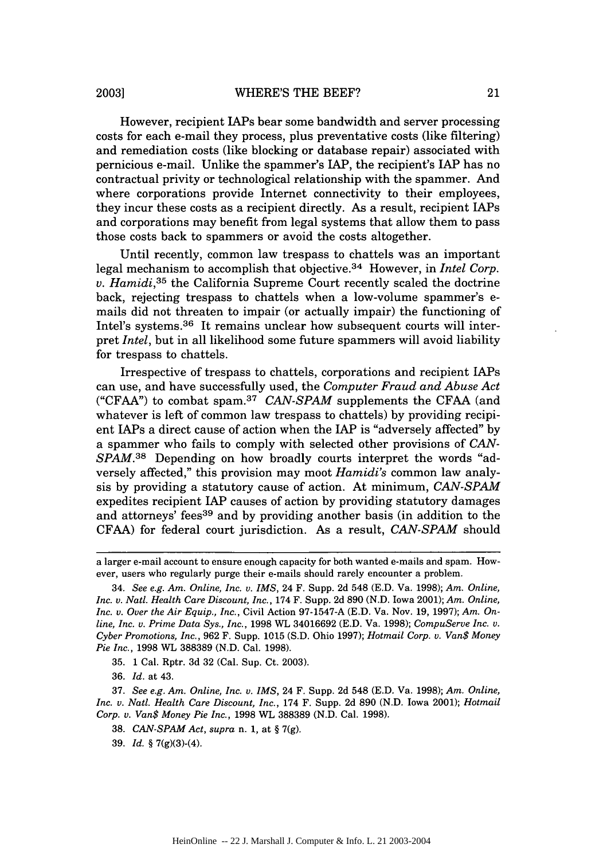However, recipient IAPs bear some bandwidth and server processing costs for each e-mail they process, plus preventative costs (like filtering) and remediation costs (like blocking or database repair) associated with pernicious e-mail. Unlike the spammer's IAP, the recipient's IAP has no contractual privity or technological relationship with the spammer. And where corporations provide Internet connectivity to their employees, they incur these costs as a recipient directly. As a result, recipient IAPs and corporations may benefit from legal systems that allow them to pass those costs back to spammers or avoid the costs altogether.

Until recently, common law trespass to chattels was an important legal mechanism to accomplish that objective.<sup>34</sup> However, in *Intel Corp. v. Hamidi,35* the California Supreme Court recently scaled the doctrine back, rejecting trespass to chattels when a low-volume spammer's emails did not threaten to impair (or actually impair) the functioning of Intel's systems.<sup>36</sup> It remains unclear how subsequent courts will interpret *Intel,* but in all likelihood some future spammers will avoid liability for trespass to chattels.

Irrespective of trespass to chattels, corporations and recipient lAPs can use, and have successfully used, the *Computer Fraud and Abuse Act* ("CFAA") to combat spam.<sup>37</sup> CAN-SPAM supplements the CFAA (and whatever is left of common law trespass to chattels) by providing recipient IAPs a direct cause of action when the IAP is "adversely affected" by a spammer who fails to comply with selected other provisions of *CAN-SPAM.*<sup>38</sup> Depending on how broadly courts interpret the words "adversely affected," this provision may moot *Hamidi's* common law analysis by providing a statutory cause of action. At minimum, *CAN-SPAM* expedites recipient IAP causes of action by providing statutory damages and attorneys' fees<sup>39</sup> and by providing another basis (in addition to the CFAA) for federal court jurisdiction. As a result, *CAN-SPAM* should

36. *Id.* at 43.

37. *See e.g. Am. Online, Inc. v. IMS,* 24 F. Supp. 2d 548 (E.D. Va. 1998); *Am. Online, Inc. v. Natl. Health Care Discount, Inc.,* 174 F. Supp. 2d 890 (N.D. Iowa 2001); *Hotmail Corp. v. Van\$ Money Pie Inc.,* 1998 WL 388389 (N.D. Cal. 1998).

39. *Id.* § 7(g)(3)-(4).

a larger e-mail account to ensure enough capacity for both wanted e-mails and spam. However, users who regularly purge their e-mails should rarely encounter a problem.

<sup>34.</sup> *See e.g. Am. Online, Inc. v. IMS,* 24 F. Supp. 2d 548 (E.D. Va. 1998); *Am. Online, Inc. v. Natl. Health Care Discount, Inc.,* 174 F. Supp. 2d 890 (N.D. Iowa 2001); *Am. Online, Inc. v. Over the Air Equip., Inc.,* Civil Action 97-1547-A (E.D. Va. Nov. 19, 1997); *Am. Online, Inc. v. Prime Data Sys., Inc.,* 1998 WL 34016692 (E.D. Va. 1998); *CompuServe Inc. v. Cyber Promotions, Inc.,* 962 F. Supp. 1015 (S.D. Ohio 1997); *Hotmail Corp. v. Van\$ Money Pie Inc.,* 1998 WL 388389 (N.D. Cal. 1998).

<sup>35. 1</sup> Cal. Rptr. 3d 32 (Cal. Sup. Ct. 2003).

<sup>38.</sup> *CAN-SPAM Act, supra* n. 1, at § 7(g).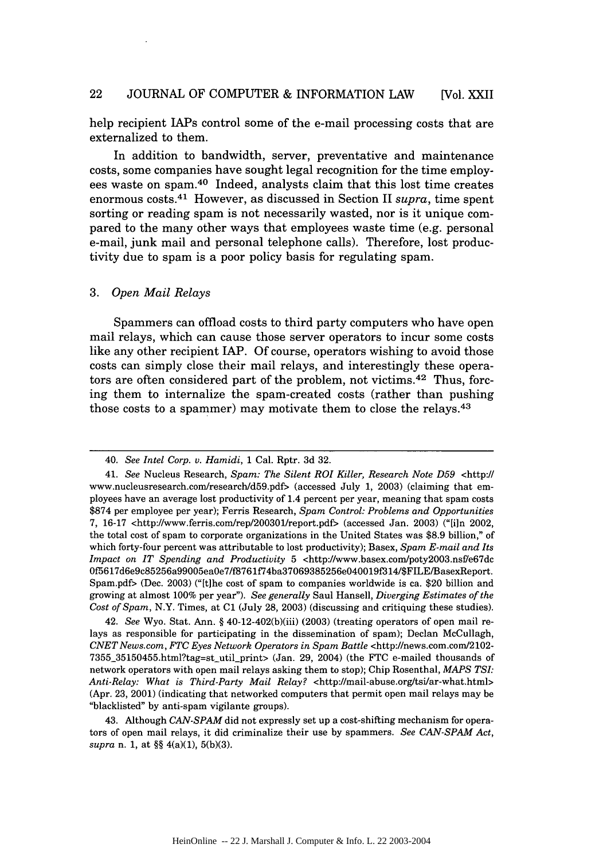help recipient lAPs control some of the e-mail processing costs that are externalized to them.

In addition to bandwidth, server, preventative and maintenance costs, some companies have sought legal recognition for the time employees waste on spam.40 Indeed, analysts claim that this lost time creates enormous costs. 41 However, as discussed in Section II *supra,* time spent sorting or reading spam is not necessarily wasted, nor is it unique compared to the many other ways that employees waste time (e.g. personal e-mail, junk mail and personal telephone calls). Therefore, lost productivity due to spam is a poor policy basis for regulating spam.

#### *3. Open Mail Relays*

Spammers can offload costs to third party computers who have open mail relays, which can cause those server operators to incur some costs like any other recipient IAP. Of course, operators wishing to avoid those costs can simply close their mail relays, and interestingly these operators are often considered part of the problem, not victims. 42 Thus, forcing them to internalize the spam-created costs (rather than pushing those costs to a spammer) may motivate them to close the relays. $43$ 

<sup>40.</sup> *See Intel Corp. v. Hamidi,* 1 Cal. Rptr. 3d 32.

<sup>41.</sup> *See* Nucleus Research, *Spam: The Silent ROI Killer, Research Note D59* <http:// www.nucleusresearch.com/research/d59.pdf> (accessed July 1, 2003) (claiming that employees have an average lost productivity of 1.4 percent per year, meaning that spam costs \$874 per employee per year); Ferris Research, *Spam Control: Problems and Opportunities* 7, 16-17 <http://www.ferris.com/rep/200301/report.pdf> (accessed Jan. 2003) ("[i]n 2002, the total cost of spam to corporate organizations in the United States was \$8.9 billion," of which forty-four percent was attributable to lost productivity); Basex, *Spam E-mail and Its Impact on IT Spending and Productivity 5 <http://www.basex.com/poty2003.nsf/e67dc* Of5617d6e9c85256a99005eaOe7/f8761f74ba37069385256eO40019f314/\$FILE/BasexReport. Spam.pdf> (Dec. 2003) ("[t]he cost of spam to companies worldwide is ca. \$20 billion and growing at almost 100% per year"). *See generally* Saul Hansell, *Diverging Estimates of the Cost of Spam,* N.Y. Times, at **C1** (July 28, 2003) (discussing and critiquing these studies).

<sup>42.</sup> *See* Wyo. Stat. Ann. § 40-12-402(b)(iii) (2003) (treating operators of open mail relays as responsible for participating in the dissemination of spam); Declan McCullagh, *CNETNews.com, FTC Eyes Network Operators in Spam Battle* <http://news.com.com/2102- 7355\_35150455.html?tag=stutil-print> (Jan. 29, 2004) (the FTC e-mailed thousands of network operators with open mail relays asking them to stop); Chip Rosenthal, *MAPS TSI: Anti-Relay: What is Third-Party Mail Relay?* <http://mail-abuse.org/tsi/ar-what.html> (Apr. 23, 2001) (indicating that networked computers that permit open mail relays may be "blacklisted" by anti-spam vigilante groups).

<sup>43.</sup> Although *CAN-SPAM* did not expressly set up a cost-shifting mechanism for operators of open mail relays, it did criminalize their use by spammers. *See CAN-SPAM Act, supra* n. 1, at §§ 4(a)(1), 5(b)(3).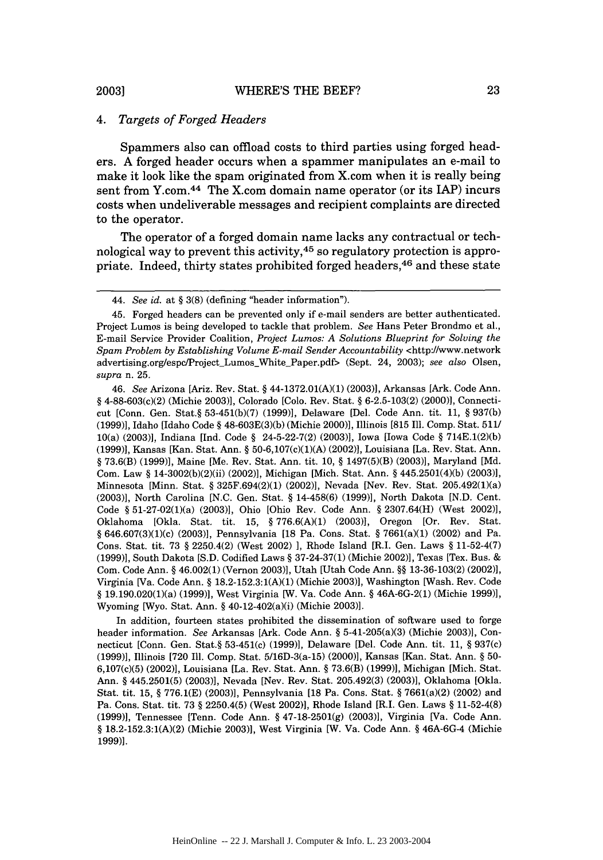#### *4. Targets of Forged Headers*

Spammers also can offload costs to third parties using forged headers. A forged header occurs when a spammer manipulates an e-mail to make it look like the spam originated from X.com when it is really being sent from Y.com. $44$  The X.com domain name operator (or its IAP) incurs costs when undeliverable messages and recipient complaints are directed to the operator.

The operator of a forged domain name lacks any contractual or technological way to prevent this activity, $45$  so regulatory protection is appropriate. Indeed, thirty states prohibited forged headers,<sup>46</sup> and these state

In addition, fourteen states prohibited the dissemination of software used to forge header information. *See* Arkansas [Ark. Code Ann. § 5-41-205(a)(3) (Michie 2003)], Connecticut [Conn. Gen. Stat.§ 53-451(c) (1999)], Delaware [Del. Code Ann. tit. 11, § 937(c) (1999)], Illinois [720 Ill. Comp. Stat. 5/16D-3(a-15) (2000)], Kansas [Kan. Stat. Ann. § 50- 6,107(c)(5) (2002)], Louisiana [La. Rev. Stat. Ann. § 73.6(B) (1999)], Michigan [Mich. Stat. Ann. § 445.2501(5) (2003)], Nevada [Nev. Rev. Stat. 205.492(3) (2003)], Oklahoma [Okla. Stat. tit. 15, § 776.1(E) (2003)], Pennsylvania [18 Pa. Cons. Stat. § 7661(a)(2) (2002) and Pa. Cons. Stat. tit. 73 § 2250.4(5) (West 2002)], Rhode Island [R.I. Gen. Laws § 11-52-4(8) (1999)], Tennessee [Tenn. Code Ann. § 47-18-2501(g) (2003)], Virginia [Va. Code Ann. § 18.2-152.3:1(A)(2) (Michie 2003)], West Virginia [W. Va. Code Ann. § 46A-6G-4 (Michie 1999)].

**2003]**

<sup>44.</sup> *See id.* at § 3(8) (defining "header information").

<sup>45.</sup> Forged headers can be prevented only if e-mail senders are better authenticated. Project Lumos is being developed to tackle that problem. *See* Hans Peter Brondmo et al., E-mail Service Provider Coalition, *Project Lumos: A Solutions Blueprint for Solving the Spam Problem by Establishing Volume E-mail Sender Accountability* <http://www.network advertising.org/espc/ProjectLumosWhite-Paper.pdf> (Sept. 24, 2003); *see also* Olsen, *supra* n. 25.

<sup>46.</sup> *See* Arizona [Ariz. Rev. Stat. § 44-1372.01(A)(1) (2003)], Arkansas [Ark. Code Ann. § 4-88-603(c)(2) (Michie 2003)], Colorado [Colo. Rev. Stat. § 6-2.5-103(2) (2000)], Connecticut [Conn. Gen. Stat.§ 53-451(b)(7) (1999)], Delaware [Del. Code Ann. tit. 11, § 937(b) (1999)], Idaho [Idaho Code § 48-603E(3)(b) (Michie 2000)], Illinois [815 Ill. Comp. Stat. 511/ 10(a) (2003)], Indiana [Ind. Code § 24-5-22-7(2) (2003)], Iowa [Iowa Code § 714E.1(2)(b) (1999)], Kansas [Kan. Stat. Ann. § 50-6,107(c)(1)(A) (2002)], Louisiana [La. Rev. Stat. Ann. § 73.6(B) (1999)], Maine [Me. Rev. Stat. Ann. tit. 10, § 1497(5)(B) (2003)], Maryland [Md. Com. Law § 14-3002(b)(2)(ii) (2002)], Michigan [Mich. Stat. Ann. § 445.2501(4)(b) (2003)], Minnesota [Minn. Stat. § 325F.694(2)(1) (2002)], Nevada [Nev. Rev. Stat. 205.492(1)(a) (2003)], North Carolina [N.C. Gen. Stat. § 14-458(6) (1999)], North Dakota [N.D. Cent. Code § 51-27-02(1)(a) (2003)], Ohio [Ohio Rev. Code Ann. § 2307.64(H) (West 2002)], Oklahoma [Okla. Stat. tit. 15, § 776.6(A)(1) (2003)], Oregon [Or. Rev. Stat. § 646.607(3)(1)(c) (2003)], Pennsylvania [18 Pa. Cons. Stat. § 7661(a)(1) (2002) and Pa. Cons. Stat. tit. 73 § 2250.4(2) (West 2002) ], Rhode Island [R.I. Gen. Laws § 11-52-4(7) (1999)], South Dakota [S.D. Codified Laws § 37-24-37(1) (Michie 2002)], Texas [Tex. Bus. & Com. Code Ann. § 46.002(1) (Vernon 2003)], Utah [Utah Code Ann. §§ 13-36-103(2) (2002)], Virginia [Va. Code Ann. § 18.2-152.3:1(A)(1) (Michie 2003)], Washington [Wash. Rev. Code § 19.190.020(1)(a) (1999)], West Virginia [W. Va. Code Ann. § 46A-6G-2(1) (Michie 1999)], Wyoming [Wyo. Stat. Ann. § 40-12-402(a)(i) (Michie 2003)].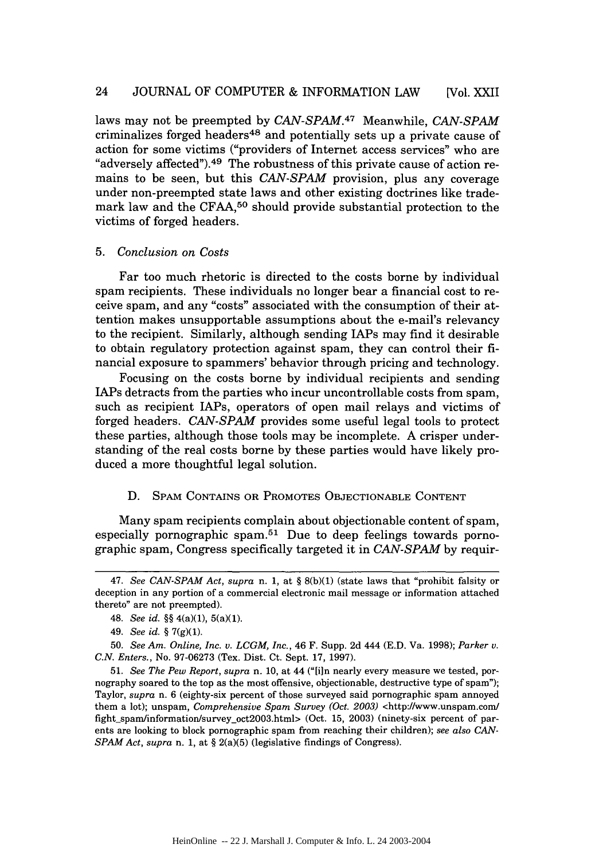laws may not be preempted by *CAN-SPAM*.<sup>47</sup> Meanwhile, *CAN-SPAM* criminalizes forged headers<sup>48</sup> and potentially sets up a private cause of action for some victims ("providers of Internet access services" who are "adversely affected"). 49 The robustness of this private cause of action remains to be seen, but this *CAN-SPAM* provision, plus any coverage under non-preempted state laws and other existing doctrines like trademark law and the CFAA,<sup>50</sup> should provide substantial protection to the victims of forged headers.

#### 5. *Conclusion on Costs*

Far too much rhetoric is directed to the costs borne by individual spam recipients. These individuals no longer bear a financial cost to receive spam, and any "costs" associated with the consumption of their attention makes unsupportable assumptions about the e-mail's relevancy to the recipient. Similarly, although sending IAPs may find it desirable to obtain regulatory protection against spam, they can control their financial exposure to spammers' behavior through pricing and technology.

Focusing on the costs borne by individual recipients and sending IAPs detracts from the parties who incur uncontrollable costs from spam, such as recipient IAPs, operators of open mail relays and victims of forged headers. *CAN-SPAM* provides some useful legal tools to protect these parties, although those tools may be incomplete. A crisper understanding of the real costs borne by these parties would have likely produced a more thoughtful legal solution.

#### D. **SPAM** CONTAINS OR PROMOTES OBJECTIONABLE CONTENT

Many spam recipients complain about objectionable content of spam, especially pornographic spam.<sup>51</sup> Due to deep feelings towards pornographic spam, Congress specifically targeted it in *CAN-SPAM* by requir-

<sup>47.</sup> *See CAN-SPAM Act, supra* n. 1, at § 8(b)(1) (state laws that "prohibit falsity or deception in any portion of a commercial electronic mail message or information attached thereto" are not preempted).

<sup>48.</sup> *See id.* §§ 4(a)(1), 5(a)(1).

<sup>49.</sup> *See id.* § 7(g)(1).

<sup>50.</sup> *See Am. Online, Inc. v. LCGM, Inc.,* 46 F. Supp. 2d 444 (E.D. Va. 1998); *Parker v. C.N. Enters.,* No. 97-06273 (Tex. Dist. Ct. Sept. 17, 1997).

<sup>51.</sup> *See The Pew Report, supra* n. 10, at 44 ("[in nearly every measure we tested, pornography soared to the top as the most offensive, objectionable, destructive type of spam"); Taylor, *supra* n. 6 (eighty-six percent of those surveyed said pornographic spam annoyed them a lot); unspam, *Comprehensive Sparn Survey (Oct. 2003)* <http://www.unspam.com fight\_spam/information/survey\_oct2003.html> (Oct. 15, 2003) (ninety-six percent of parents are looking to block pornographic spam from reaching their children); *see also CAN-SPAM Act, supra* n. 1, at § 2(a)(5) (legislative findings of Congress).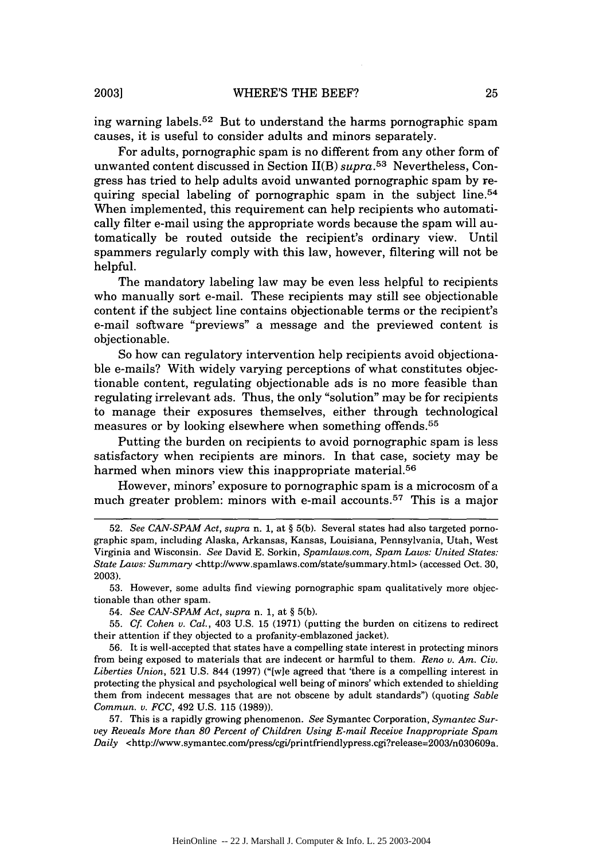ing warning labels.<sup>52</sup> But to understand the harms pornographic spam causes, it is useful to consider adults and minors separately.

For adults, pornographic spam is no different from any other form of unwanted content discussed in Section II(B) *supra.53* Nevertheless, Congress has tried to help adults avoid unwanted pornographic spam by requiring special labeling of pornographic spam in the subject line.<sup>54</sup> When implemented, this requirement can help recipients who automatically filter e-mail using the appropriate words because the spam will automatically be routed outside the recipient's ordinary view. Until spammers regularly comply with this law, however, filtering will not be helpful.

The mandatory labeling law may be even less helpful to recipients who manually sort e-mail. These recipients may still see objectionable content if the subject line contains objectionable terms or the recipient's e-mail software "previews" a message and the previewed content is objectionable.

So how can regulatory intervention help recipients avoid objectionable e-mails? With widely varying perceptions of what constitutes objectionable content, regulating objectionable ads is no more feasible than regulating irrelevant ads. Thus, the only "solution" may be for recipients to manage their exposures themselves, either through technological measures or by looking elsewhere when something offends.<sup>55</sup>

Putting the burden on recipients to avoid pornographic spam is less satisfactory when recipients are minors. In that case, society may be harmed when minors view this inappropriate material.<sup>56</sup>

However, minors' exposure to pornographic spam is a microcosm of a much greater problem: minors with e-mail accounts.<sup>57</sup> This is a major

53. However, some adults find viewing pornographic span qualitatively more objectionable than other spam.

54. *See CAN-SPAM Act, supra* n. 1, at § 5(b).

55. *Cf Cohen v. Cal.,* 403 U.S. 15 (1971) (putting the burden on citizens to redirect their attention if they objected to a profanity-emblazoned jacket).

56. It is well-accepted that states have a compelling state interest in protecting minors from being exposed to materials that are indecent or harmful to them. *Reno v. Am. Civ. Liberties Union,* 521 U.S. 844 (1997) ("[wle agreed that 'there is a compelling interest in protecting the physical and psychological well being of minors' which extended to shielding them from indecent messages that are not obscene by adult standards") (quoting *Sable Commun. v. FCC,* 492 U.S. 115 (1989)).

57. This is a rapidly growing phenomenon. *See* Symantec Corporation, *Symantec Survey Reveals More than 80 Percent of Children Using E-mail Receive Inappropriate Spam Daily* <http://www.symantec.com/press/cgi/printfriendlypress.cgi?release=2003/nO36O9a.

<sup>52.</sup> *See CAN-SPAM Act, supra* n. 1, at § 5(b). Several states had also targeted pornographic spam, including Alaska, Arkansas, Kansas, Louisiana, Pennsylvania, Utah, West Virginia and Wisconsin. *See* David E. Sorkin, *Spamlaws.com, Spam Laws: United States: State Laws: Summary* <http://www.spamlaws.com/state/summary.html> (accessed Oct. 30, 2003).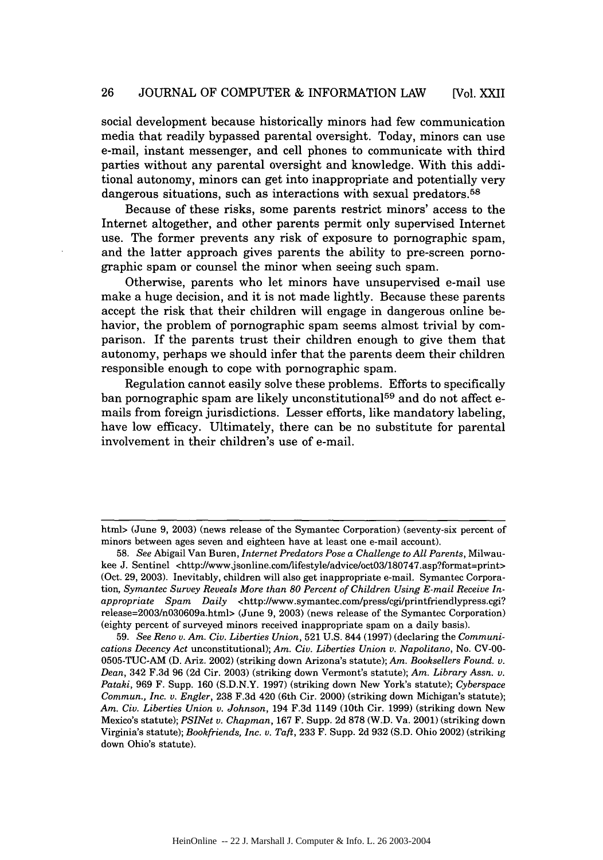social development because historically minors had few communication media that readily bypassed parental oversight. Today, minors can use e-mail, instant messenger, and cell phones to communicate with third parties without any parental oversight and knowledge. With this additional autonomy, minors can get into inappropriate and potentially very dangerous situations, such as interactions with sexual predators.<sup>58</sup>

Because of these risks, some parents restrict minors' access to the Internet altogether, and other parents permit only supervised Internet use. The former prevents any risk of exposure to pornographic spam, and the latter approach gives parents the ability to pre-screen pornographic spam or counsel the minor when seeing such spam.

Otherwise, parents who let minors have unsupervised e-mail use make a huge decision, and it is not made lightly. Because these parents accept the risk that their children will engage in dangerous online behavior, the problem of pornographic spam seems almost trivial by comparison. If the parents trust their children enough to give them that autonomy, perhaps we should infer that the parents deem their children responsible enough to cope with pornographic spam.

Regulation cannot easily solve these problems. Efforts to specifically ban pornographic spam are likely unconstitutional<sup>59</sup> and do not affect emails from foreign jurisdictions. Lesser efforts, like mandatory labeling, have low efficacy. Ultimately, there can be no substitute for parental involvement in their children's use of e-mail.

html> (June 9, 2003) (news release of the Symantec Corporation) (seventy-six percent of minors between ages seven and eighteen have at least one e-mail account).

<sup>58.</sup> *See* Abigail Van Buren, *Internet Predators Pose a Challenge to All Parents,* Milwaukee J. Sentinel <http://www.jsonline.com/lifestyle/advice/oct03/180747.asp?format=print> (Oct. 29, 2003). Inevitably, children will also get inappropriate e-mail. Symantec Corporation, *Symantec Survey Reveals More than 80 Percent of Children Using E-mail Receive Inappropriate Spam Daily <http://www.symantec.com/press/cgi/printfriendlypress.cgi?* release=2003/n030609a.html> (June 9, 2003) (news release of the Symantec Corporation) (eighty percent of surveyed minors received inappropriate spam on a daily basis).

<sup>59.</sup> *See Reno v. Am. Civ. Liberties Union,* 521 U.S. 844 (1997) (declaring the *Communications Decency Act* unconstitutional); *Am. Civ. Liberties Union v. Napolitano,* No. CV-00- 0505-TUC-AM (D. Ariz. 2002) (striking down Arizona's statute); *Am. Booksellers Found. v. Dean,* 342 F.3d 96 (2d Cir. 2003) (striking down Vermont's statute); *Am. Library Assn. v. Pataki,* 969 F. Supp. 160 (S.D.N.Y. 1997) (striking down New York's statute); *Cyberspace Commun., Inc. v. Engler,* 238 F.3d 420 (6th Cir. 2000) (striking down Michigan's statute); *Am. Civ. Liberties Union v. Johnson,* 194 F.3d 1149 (10th Cir. 1999) (striking down New Mexico's statute); *PSINet v. Chapman,* 167 F. Supp. 2d 878 (W.D. Va. 2001) (striking down Virginia's statute); *Bookfriends, Inc. v. Taft,* 233 F. Supp. 2d **932** (S.D. Ohio 2002) (striking down Ohio's statute).